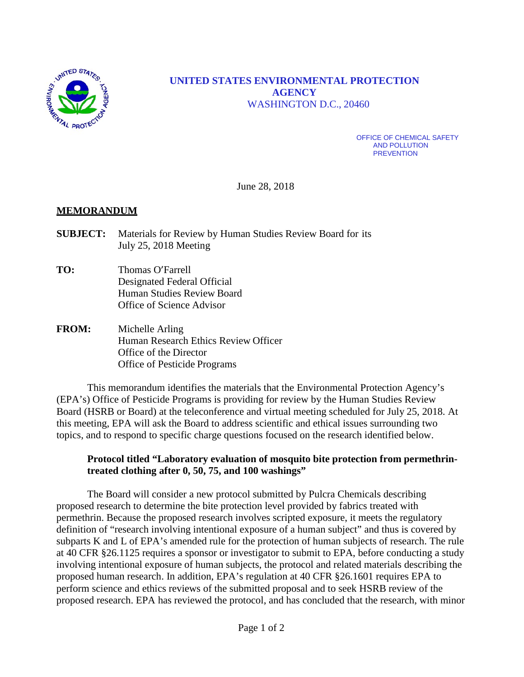

# **UNITED STATES ENVIRONMENTAL PROTECTION AGENCY** WASHINGTON D.C., 20460

OFFICE OF CHEMICAL SAFETY AND POLLUTION **PREVENTION** 

June 28, 2018

#### **MEMORANDUM**

- **SUBJECT:** Materials for Review by Human Studies Review Board for its July 25, 2018 Meeting
- **TO:** Thomas O'Farrell Designated Federal Official Human Studies Review Board Office of Science Advisor
- **FROM:** Michelle Arling Human Research Ethics Review Officer Office of the Director Office of Pesticide Programs

This memorandum identifies the materials that the Environmental Protection Agency's (EPA's) Office of Pesticide Programs is providing for review by the Human Studies Review Board (HSRB or Board) at the teleconference and virtual meeting scheduled for July 25, 2018. At this meeting, EPA will ask the Board to address scientific and ethical issues surrounding two topics, and to respond to specific charge questions focused on the research identified below.

#### **Protocol titled "Laboratory evaluation of mosquito bite protection from permethrintreated clothing after 0, 50, 75, and 100 washings"**

The Board will consider a new protocol submitted by Pulcra Chemicals describing proposed research to determine the bite protection level provided by fabrics treated with permethrin. Because the proposed research involves scripted exposure, it meets the regulatory definition of "research involving intentional exposure of a human subject" and thus is covered by subparts K and L of EPA's amended rule for the protection of human subjects of research. The rule at 40 CFR §26.1125 requires a sponsor or investigator to submit to EPA, before conducting a study involving intentional exposure of human subjects, the protocol and related materials describing the proposed human research. In addition, EPA's regulation at 40 CFR §26.1601 requires EPA to perform science and ethics reviews of the submitted proposal and to seek HSRB review of the proposed research. EPA has reviewed the protocol, and has concluded that the research, with minor